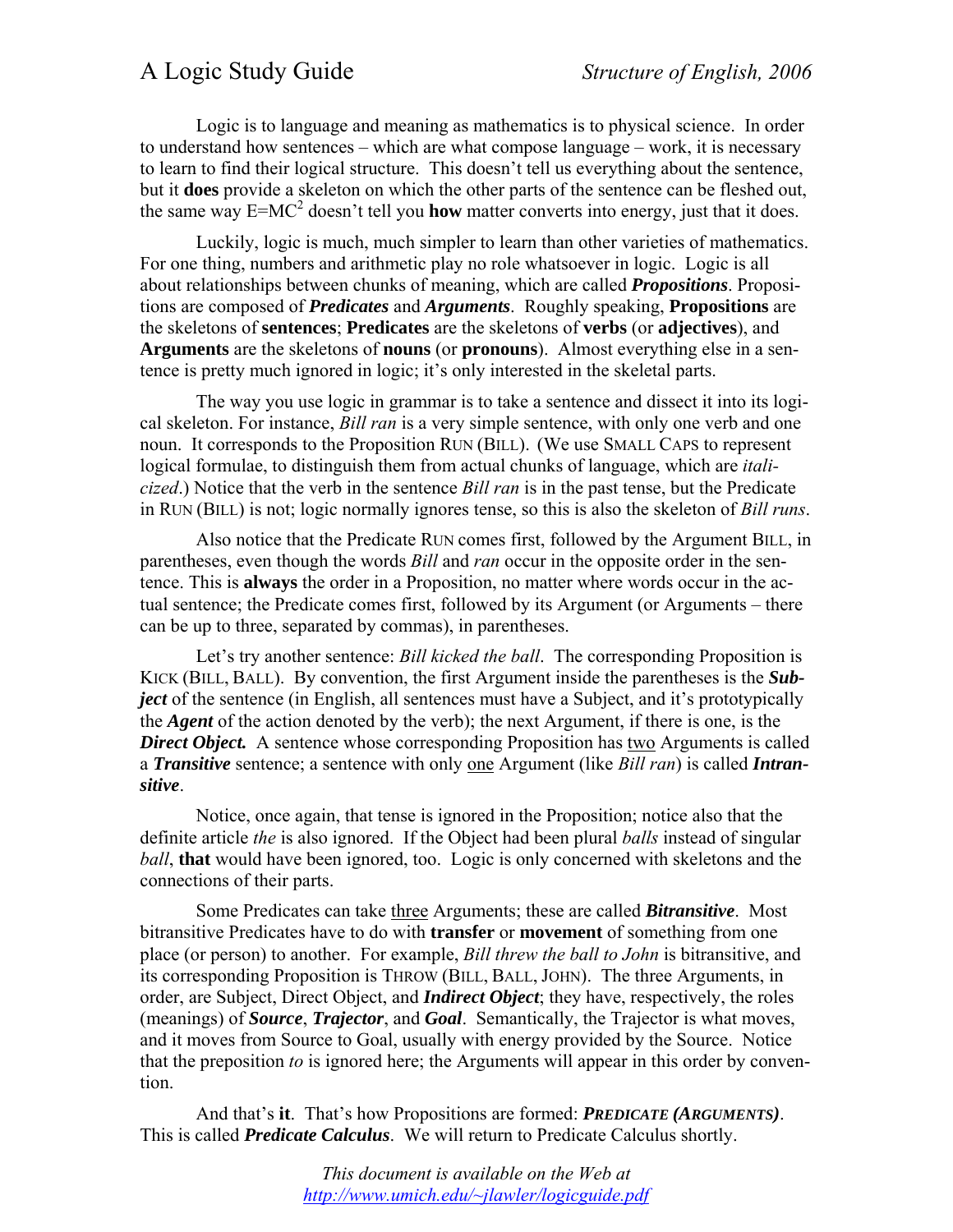## A Logic Study Guide *Structure of English, 2006*

Logic is to language and meaning as mathematics is to physical science. In order to understand how sentences – which are what compose language – work, it is necessary to learn to find their logical structure. This doesn't tell us everything about the sentence, but it **does** provide a skeleton on which the other parts of the sentence can be fleshed out, the same way  $E=MC^2$  doesn't tell you **how** matter converts into energy, just that it does.

Luckily, logic is much, much simpler to learn than other varieties of mathematics. For one thing, numbers and arithmetic play no role whatsoever in logic. Logic is all about relationships between chunks of meaning, which are called *Propositions*. Propositions are composed of *Predicates* and *Arguments*. Roughly speaking, **Propositions** are the skeletons of **sentences**; **Predicates** are the skeletons of **verbs** (or **adjectives**), and **Arguments** are the skeletons of **nouns** (or **pronouns**). Almost everything else in a sentence is pretty much ignored in logic; it's only interested in the skeletal parts.

The way you use logic in grammar is to take a sentence and dissect it into its logical skeleton. For instance, *Bill ran* is a very simple sentence, with only one verb and one noun. It corresponds to the Proposition RUN (BILL). (We use SMALL CAPS to represent logical formulae, to distinguish them from actual chunks of language, which are *italicized*.) Notice that the verb in the sentence *Bill ran* is in the past tense, but the Predicate in RUN (BILL) is not; logic normally ignores tense, so this is also the skeleton of *Bill runs*.

Also notice that the Predicate RUN comes first, followed by the Argument BILL, in parentheses, even though the words *Bill* and *ran* occur in the opposite order in the sentence. This is **always** the order in a Proposition, no matter where words occur in the actual sentence; the Predicate comes first, followed by its Argument (or Arguments – there can be up to three, separated by commas), in parentheses.

Let's try another sentence: *Bill kicked the ball*. The corresponding Proposition is KICK (BILL, BALL). By convention, the first Argument inside the parentheses is the *Subject* of the sentence (in English, all sentences must have a Subject, and it's prototypically the *Agent* of the action denoted by the verb); the next Argument, if there is one, is the **Direct Object.** A sentence whose corresponding Proposition has two Arguments is called a *Transitive* sentence; a sentence with only one Argument (like *Bill ran*) is called *Intransitive*.

Notice, once again, that tense is ignored in the Proposition; notice also that the definite article *the* is also ignored. If the Object had been plural *balls* instead of singular *ball*, **that** would have been ignored, too. Logic is only concerned with skeletons and the connections of their parts.

Some Predicates can take three Arguments; these are called *Bitransitive*. Most bitransitive Predicates have to do with **transfer** or **movement** of something from one place (or person) to another. For example, *Bill threw the ball to John* is bitransitive, and its corresponding Proposition is THROW (BILL, BALL, JOHN). The three Arguments, in order, are Subject, Direct Object, and *Indirect Object*; they have, respectively, the roles (meanings) of *Source*, *Trajector*, and *Goal*. Semantically, the Trajector is what moves, and it moves from Source to Goal, usually with energy provided by the Source. Notice that the preposition *to* is ignored here; the Arguments will appear in this order by convention.

And that's **it**. That's how Propositions are formed: *PREDICATE (ARGUMENTS)*. This is called *Predicate Calculus*. We will return to Predicate Calculus shortly.

> *This document is available on the Web at http://www.umich.edu/~jlawler/logicguide.pdf*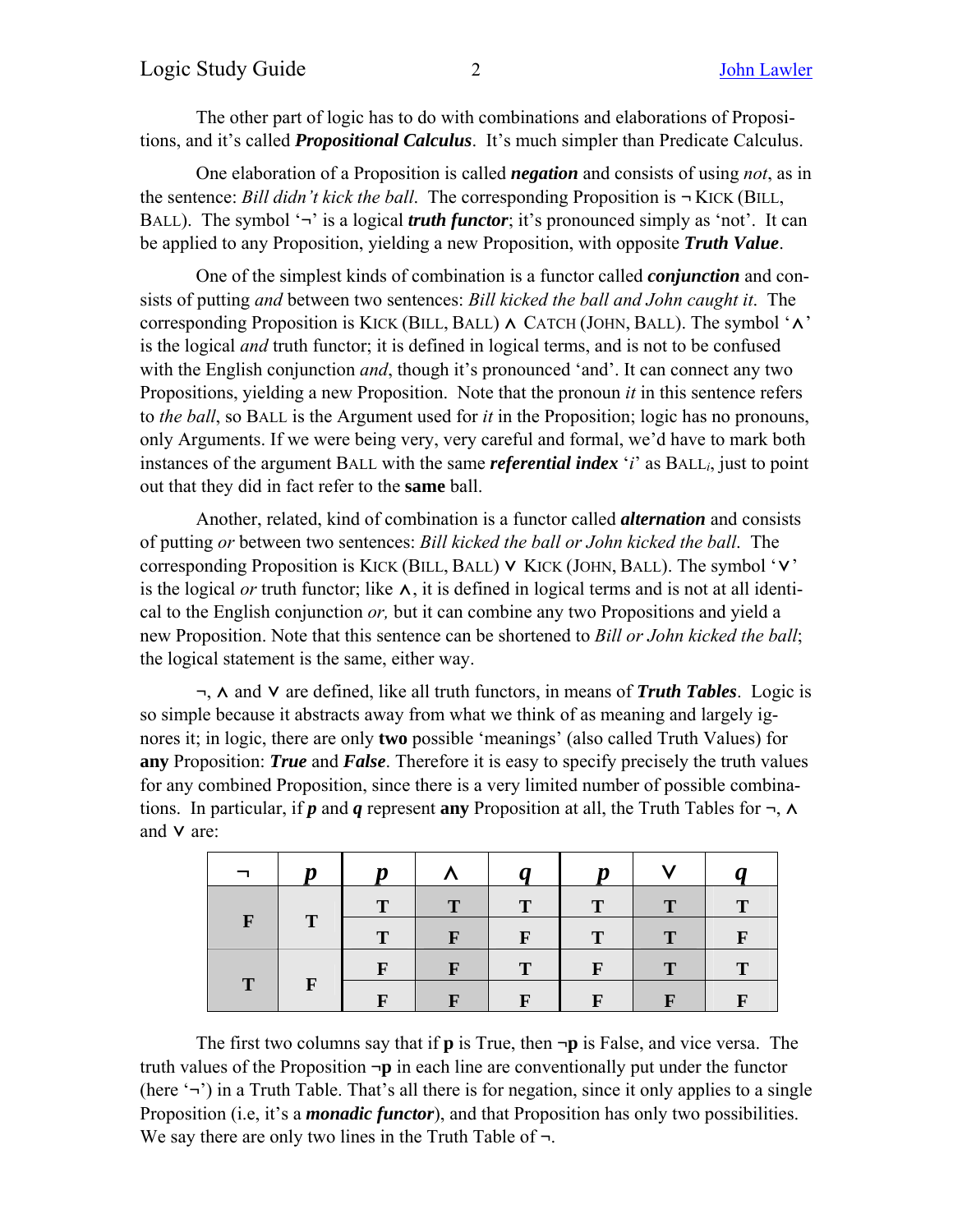The other part of logic has to do with combinations and elaborations of Propositions, and it's called *Propositional Calculus*. It's much simpler than Predicate Calculus.

One elaboration of a Proposition is called *negation* and consists of using *not*, as in the sentence: *Bill didn't kick the ball*. The corresponding Proposition is **¬** KICK (BILL, BALL). The symbol '**¬**' is a logical *truth functor*; it's pronounced simply as 'not'. It can be applied to any Proposition, yielding a new Proposition, with opposite *Truth Value*.

One of the simplest kinds of combination is a functor called *conjunction* and consists of putting *and* between two sentences: *Bill kicked the ball and John caught it*. The corresponding Proposition is KICK (BILL, BALL)  $\land$  CATCH (JOHN, BALL). The symbol ' $\land$ ' is the logical *and* truth functor; it is defined in logical terms, and is not to be confused with the English conjunction *and*, though it's pronounced 'and'. It can connect any two Propositions, yielding a new Proposition. Note that the pronoun *it* in this sentence refers to *the ball*, so BALL is the Argument used for *it* in the Proposition; logic has no pronouns, only Arguments. If we were being very, very careful and formal, we'd have to mark both instances of the argument BALL with the same *referential index* '*i*' as BALL*i*, just to point out that they did in fact refer to the **same** ball.

Another, related, kind of combination is a functor called *alternation* and consists of putting *or* between two sentences: *Bill kicked the ball or John kicked the ball*. The corresponding Proposition is KICK (BILL, BALL)  $\vee$  KICK (JOHN, BALL). The symbol ' $\vee$ ' is the logical *or* truth functor; like  $\lambda$ , it is defined in logical terms and is not at all identical to the English conjunction *or,* but it can combine any two Propositions and yield a new Proposition. Note that this sentence can be shortened to *Bill or John kicked the ball*; the logical statement is the same, either way.

**¬**, ⋀ and ⋁ are defined, like all truth functors, in means of *Truth Tables*. Logic is so simple because it abstracts away from what we think of as meaning and largely ignores it; in logic, there are only **two** possible 'meanings' (also called Truth Values) for **any** Proposition: *True* and *False*. Therefore it is easy to specify precisely the truth values for any combined Proposition, since there is a very limited number of possible combinations. In particular, if *p* and *q* represent **any** Proposition at all, the Truth Tables for  $\neg$ ,  $\wedge$ and **v** are:

|                          | n            | Ŋ           |              |              |              |              |   |
|--------------------------|--------------|-------------|--------------|--------------|--------------|--------------|---|
| $\bf{T}$<br>$\mathbf{F}$ |              |             |              | T            | T            | T.           |   |
|                          |              | $\mathbf T$ | $\mathbf{F}$ |              | $\mathbf{T}$ | $\mathbf{T}$ |   |
| T                        | $\mathbf{F}$ | F           |              | $\mathbf{T}$ | $\mathbf{F}$ | $\mathbf{T}$ | T |
|                          |              |             |              |              |              |              |   |

The first two columns say that if **p** is True, then **¬p** is False, and vice versa. The truth values of the Proposition **¬p** in each line are conventionally put under the functor (here '**¬**') in a Truth Table. That's all there is for negation, since it only applies to a single Proposition (i.e, it's a *monadic functor*), and that Proposition has only two possibilities. We say there are only two lines in the Truth Table of **¬**.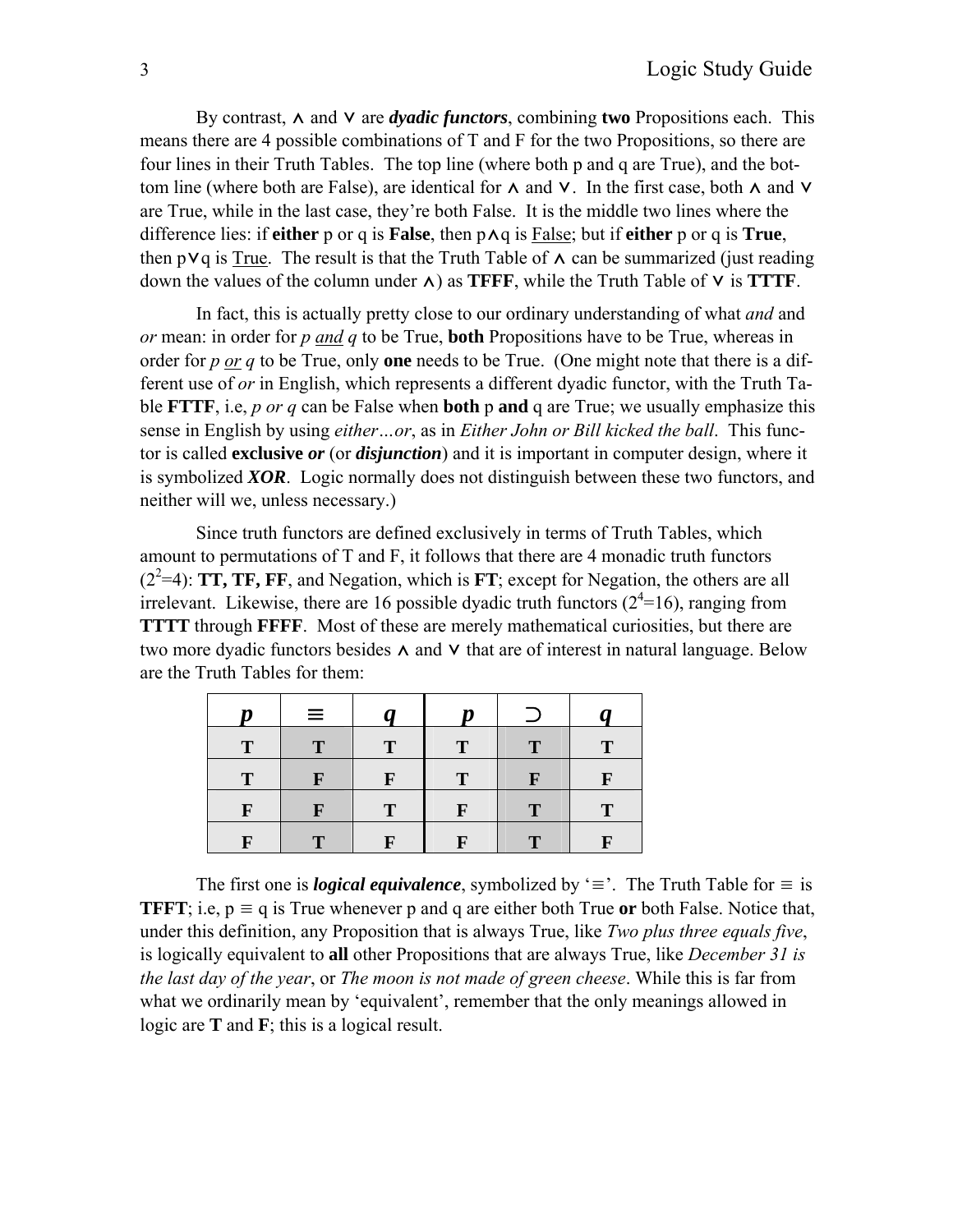By contrast, ∧ and ∨ are *dyadic functors*, combining **two** Propositions each. This means there are 4 possible combinations of T and F for the two Propositions, so there are four lines in their Truth Tables. The top line (where both p and q are True), and the bottom line (where both are False), are identical for  $\Lambda$  and  $V$ . In the first case, both  $\Lambda$  and  $V$ are True, while in the last case, they're both False. It is the middle two lines where the difference lies: if **either** p or q is **False**, then p⋀q is False; but if **either** p or q is **True**, then p $\forall q$  is True. The result is that the Truth Table of  $\land$  can be summarized (just reading down the values of the column under  $\wedge$ ) as **TFFF**, while the Truth Table of  $\vee$  is **TTTF**.

In fact, this is actually pretty close to our ordinary understanding of what *and* and *or* mean: in order for *p and q* to be True, **both** Propositions have to be True, whereas in order for *p or q* to be True, only **one** needs to be True. (One might note that there is a different use of *or* in English, which represents a different dyadic functor, with the Truth Table **FTTF**, i.e, *p or q* can be False when **both** p **and** q are True; we usually emphasize this sense in English by using *either…or*, as in *Either John or Bill kicked the ball*. This functor is called **exclusive** *or* (or *disjunction*) and it is important in computer design, where it is symbolized *XOR*. Logic normally does not distinguish between these two functors, and neither will we, unless necessary.)

Since truth functors are defined exclusively in terms of Truth Tables, which amount to permutations of T and F, it follows that there are 4 monadic truth functors  $(2<sup>2</sup>=4)$ : **TT, TF, FF**, and Negation, which is **FT**; except for Negation, the others are all irrelevant. Likewise, there are 16 possible dyadic truth functors  $(2^4=16)$ , ranging from **TTTT** through **FFFF**. Most of these are merely mathematical curiosities, but there are two more dyadic functors besides  $\Lambda$  and  $V$  that are of interest in natural language. Below are the Truth Tables for them:

| n | $\equiv$ |             | n |    |
|---|----------|-------------|---|----|
| Т |          | Т           | т | Т  |
| Т |          |             |   | T. |
| F |          | $\mathbf T$ | F | Т  |
| F |          |             | n | n  |

The first one is *logical equivalence*, symbolized by ' $\equiv$ '. The Truth Table for  $\equiv$  is **TFFT**; i.e,  $p \equiv q$  is True whenever p and q are either both True or both False. Notice that, under this definition, any Proposition that is always True, like *Two plus three equals five*, is logically equivalent to **all** other Propositions that are always True, like *December 31 is the last day of the year*, or *The moon is not made of green cheese*. While this is far from what we ordinarily mean by 'equivalent', remember that the only meanings allowed in logic are **T** and **F**; this is a logical result.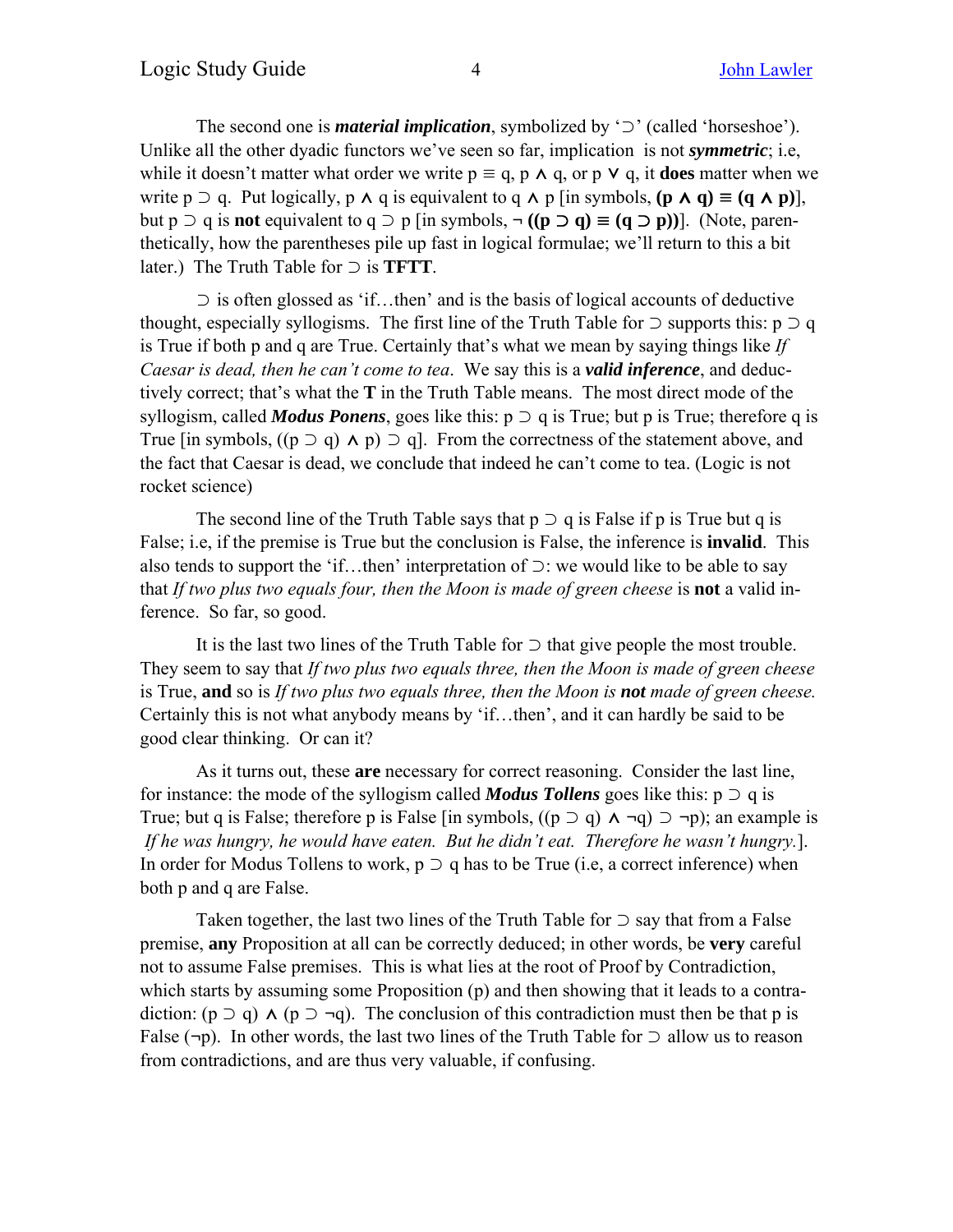The second one is *material implication*, symbolized by '⊃' (called 'horseshoe'). Unlike all the other dyadic functors we've seen so far, implication is not *symmetric*; i.e, while it doesn't matter what order we write  $p \equiv q$ , p  $\land q$ , or p  $\lor q$ , it **does** matter when we write p  $\supset$  q. Put logically, p  $\wedge$  q is equivalent to q  $\wedge$  p [in symbols,  $(p \wedge q) \equiv (q \wedge p)$ ], but p ⊃ q is **not** equivalent to q ⊃ p [in symbols, **¬ ((p** ⊃ **q)** ≡ **(q** ⊃ **p))**]. (Note, parenthetically, how the parentheses pile up fast in logical formulae; we'll return to this a bit later.) The Truth Table for ⊃ is **TFTT**.

⊃ is often glossed as 'if…then' and is the basis of logical accounts of deductive thought, especially syllogisms. The first line of the Truth Table for  $\supset$  supports this:  $p \supset q$ is True if both p and q are True. Certainly that's what we mean by saying things like *If Caesar is dead, then he can't come to tea*. We say this is a *valid inference*, and deductively correct; that's what the **T** in the Truth Table means. The most direct mode of the syllogism, called *Modus Ponens*, goes like this:  $p \supset q$  is True; but p is True; therefore q is True [in symbols,  $((p \supset q) \land p) \supset q$ ]. From the correctness of the statement above, and the fact that Caesar is dead, we conclude that indeed he can't come to tea. (Logic is not rocket science)

The second line of the Truth Table says that  $p \supset q$  is False if p is True but q is False; i.e, if the premise is True but the conclusion is False, the inference is **invalid**. This also tends to support the 'if…then' interpretation of ⊃: we would like to be able to say that *If two plus two equals four, then the Moon is made of green cheese* is **not** a valid inference. So far, so good.

It is the last two lines of the Truth Table for ⊃ that give people the most trouble. They seem to say that *If two plus two equals three, then the Moon is made of green cheese* is True, **and** so is *If two plus two equals three, then the Moon is not made of green cheese.* Certainly this is not what anybody means by 'if…then', and it can hardly be said to be good clear thinking. Or can it?

As it turns out, these **are** necessary for correct reasoning. Consider the last line, for instance: the mode of the syllogism called *Modus Tollens* goes like this:  $p \supset q$  is True; but q is False; therefore p is False [in symbols, ((p ⊃ q) ⋀ **¬**q) ⊃ **¬**p); an example is *If he was hungry, he would have eaten. But he didn't eat. Therefore he wasn't hungry.*]. In order for Modus Tollens to work,  $p \supset q$  has to be True (i.e, a correct inference) when both p and q are False.

Taken together, the last two lines of the Truth Table for  $\supset$  say that from a False premise, **any** Proposition at all can be correctly deduced; in other words, be **very** careful not to assume False premises. This is what lies at the root of Proof by Contradiction, which starts by assuming some Proposition (p) and then showing that it leads to a contradiction: ( $p \supset q$ )  $\wedge$  ( $p \supset \neg q$ ). The conclusion of this contradiction must then be that p is False (**¬**p). In other words, the last two lines of the Truth Table for ⊃ allow us to reason from contradictions, and are thus very valuable, if confusing.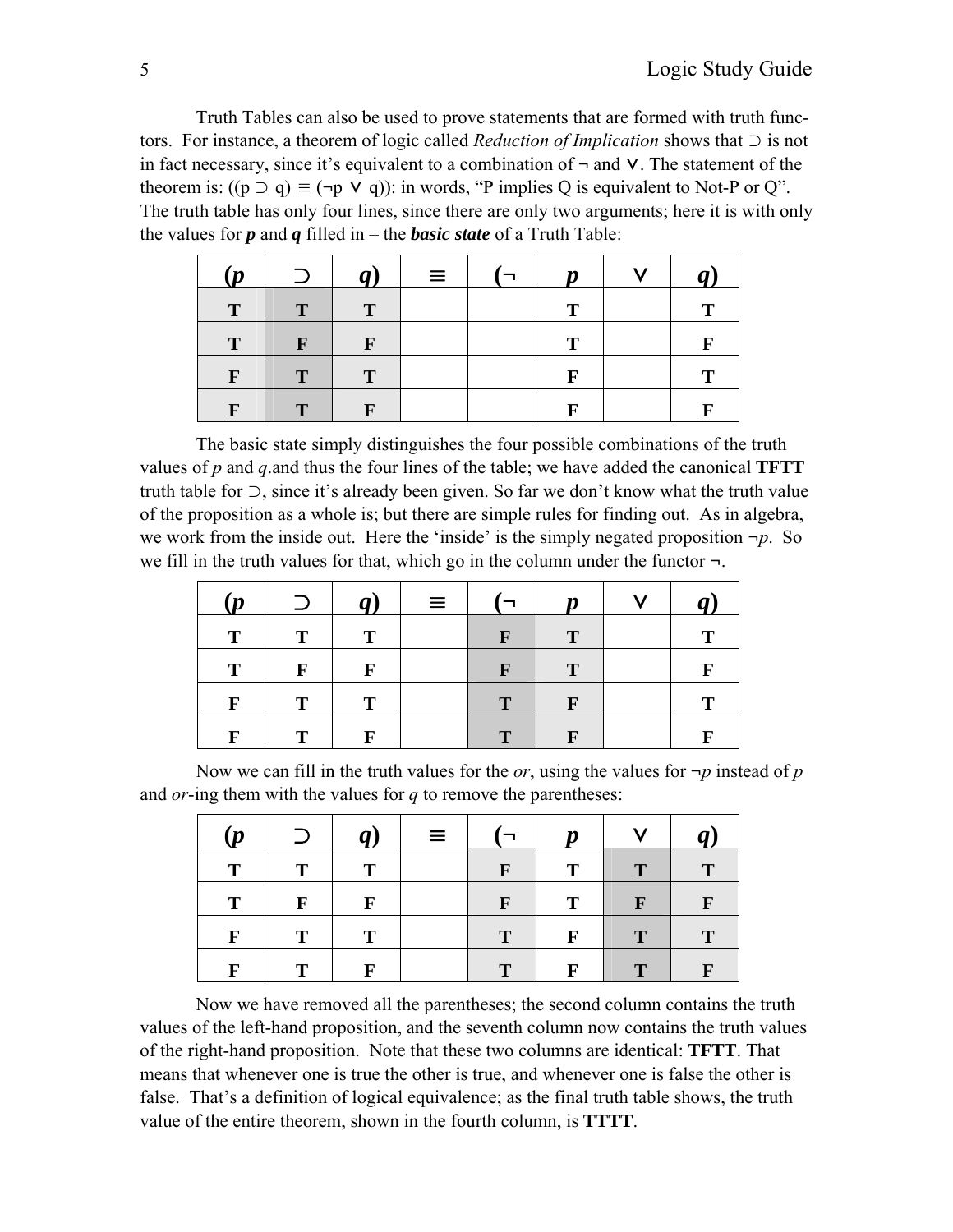Truth Tables can also be used to prove statements that are formed with truth functors. For instance, a theorem of logic called *Reduction of Implication* shows that ⊃ is not in fact necessary, since it's equivalent to a combination of **¬** and ⋁. The statement of the theorem is:  $((p \supset q) \equiv (\neg p \vee q))$ : in words, "P implies Q is equivalent to Not-P or Q". The truth table has only four lines, since there are only two arguments; here it is with only the values for  $p$  and  $q$  filled in – the *basic state* of a Truth Table:

| (p           | $\supset$    | q)           | $\equiv$ | Ŋ | v | $\boldsymbol{q}$ |
|--------------|--------------|--------------|----------|---|---|------------------|
| T            | T            | T            |          | Т |   | Т                |
| $\mathbf T$  | $\mathbf{F}$ | $\mathbf{F}$ |          | т |   | F                |
| F            | T            | $\mathbf T$  |          | F |   | т                |
| $\mathbf{F}$ | $\mathbf{T}$ | F            |          | F |   | F                |

The basic state simply distinguishes the four possible combinations of the truth values of *p* and *q*.and thus the four lines of the table; we have added the canonical **TFTT** truth table for ⊃, since it's already been given. So far we don't know what the truth value of the proposition as a whole is; but there are simple rules for finding out. As in algebra, we work from the inside out. Here the 'inside' is the simply negated proposition *¬p*. So we fill in the truth values for that, which go in the column under the functor *¬*.

| (p) | $\supset$ | $q$ )       | $\equiv$ | $\Box$       | $\boldsymbol{p}$ | $\mathbf{V}$ |   |
|-----|-----------|-------------|----------|--------------|------------------|--------------|---|
| т   | Т         |             |          | $\mathbf{F}$ | T                |              |   |
| T   | F         | F           |          | F            | T                |              |   |
| F   | т         | $\mathbf T$ |          | T            | $\mathbf{F}$     |              |   |
|     | т         | F           |          | $\mathbf T$  | $\mathbf{F}$     |              | F |

Now we can fill in the truth values for the *or*, using the values for  $\neg p$  instead of *p* and *or*-ing them with the values for *q* to remove the parentheses:

| (p          | $\supset$ | q | $\equiv$ |              | $\boldsymbol{p}$ | $\mathbf{V}$ | $q$ )        |
|-------------|-----------|---|----------|--------------|------------------|--------------|--------------|
| T           | T         | T |          | $\mathbf{F}$ | T                | T            | T            |
| T           | F         | F |          | $\mathbf{F}$ | T                | $\mathbf{F}$ | $\mathbf{F}$ |
| $\mathbf F$ | T         | T |          | T            | $\mathbf{F}$     | T            |              |
| F           | т         | F |          |              | F                |              | F            |

Now we have removed all the parentheses; the second column contains the truth values of the left-hand proposition, and the seventh column now contains the truth values of the right-hand proposition. Note that these two columns are identical: **TFTT**. That means that whenever one is true the other is true, and whenever one is false the other is false. That's a definition of logical equivalence; as the final truth table shows, the truth value of the entire theorem, shown in the fourth column, is **TTTT**.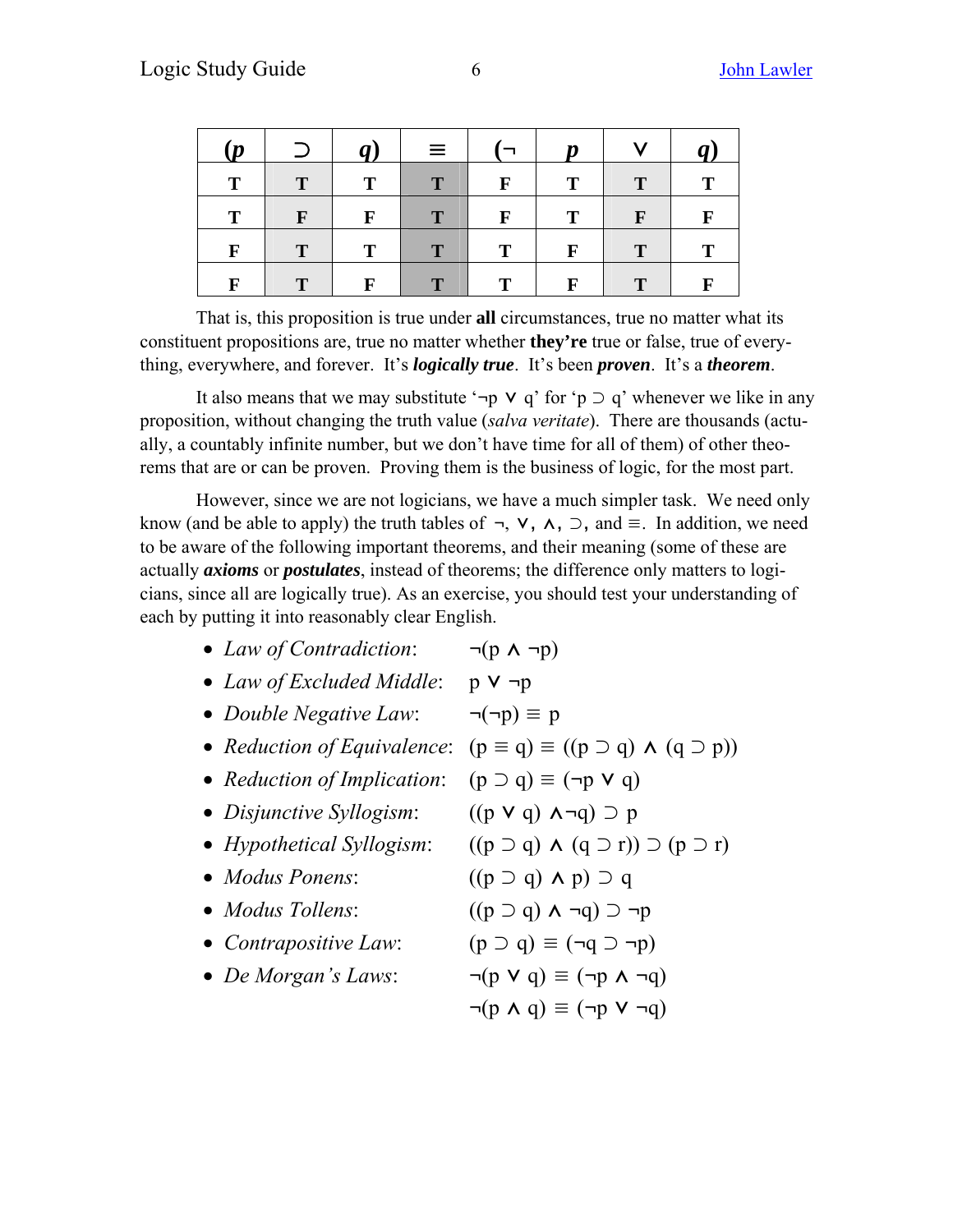| (p           | $\supset$    | $\boldsymbol{q}$ | $\equiv$     |              | $\boldsymbol{p}$ | $\mathbf{V}$ | $q$ ) |
|--------------|--------------|------------------|--------------|--------------|------------------|--------------|-------|
| T            | $\mathbf{T}$ | T                | T            | $\mathbf{F}$ | т                | $\mathbf T$  | T     |
| T            | $\mathbf{F}$ | $\mathbf{F}$     | T            | $\mathbf{F}$ | T                | $\mathbf{F}$ | F     |
| $\mathbf{F}$ | $\mathbf{T}$ | $\mathbf{T}$     | $\mathbf{T}$ | T            | F                | $\mathbf T$  | Т     |
| $\mathbf F$  | $\mathbf T$  | F                | $\mathbf{T}$ | т            |                  |              | F     |

That is, this proposition is true under **all** circumstances, true no matter what its constituent propositions are, true no matter whether **they're** true or false, true of everything, everywhere, and forever. It's *logically true*. It's been *proven*. It's a *theorem*.

It also means that we may substitute ' $\neg p \lor q'$  for ' $p \supset q'$  whenever we like in any proposition, without changing the truth value (*salva veritate*). There are thousands (actually, a countably infinite number, but we don't have time for all of them) of other theorems that are or can be proven. Proving them is the business of logic, for the most part.

However, since we are not logicians, we have a much simpler task. We need only know (and be able to apply) the truth tables of  $\neg$ ,  $\nabla$ ,  $\wedge$ ,  $\neg$ , and  $\equiv$ . In addition, we need to be aware of the following important theorems, and their meaning (some of these are actually *axioms* or *postulates*, instead of theorems; the difference only matters to logicians, since all are logically true). As an exercise, you should test your understanding of each by putting it into reasonably clear English.

| $\neg(p \land \neg p)$                                       |
|--------------------------------------------------------------|
| $p \vee \neg p$                                              |
| $\neg(\neg p) \equiv p$                                      |
| $(p \equiv q) \equiv ((p \supset q) \wedge (q \supset p))$   |
| $(p \supset q) \equiv (\neg p \vee q)$                       |
| $((p \vee q) \wedge \neg q) \supset p$                       |
| $((p \supset q) \wedge (q \supset r)) \supset (p \supset r)$ |
| $((p \supset q) \wedge p) \supset q$                         |
| $((p \supset q) \wedge \neg q) \supset \neg p$               |
| $(p \supset q) \equiv (\neg q \supset \neg p)$               |
| $\neg(p \vee q) \equiv (\neg p \wedge \neg q)$               |
| $\neg(p \land q) \equiv (\neg p \lor \neg q)$                |
|                                                              |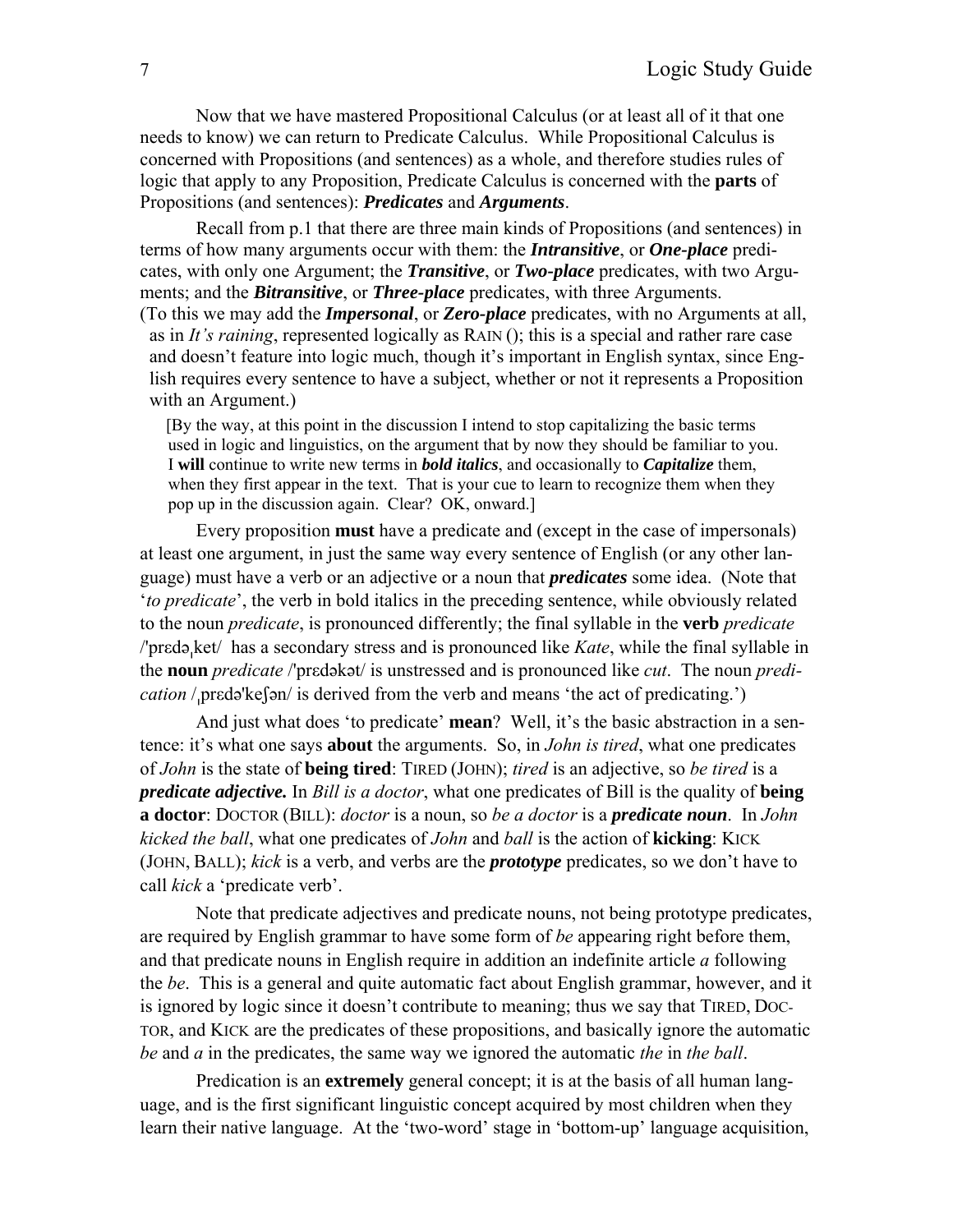Now that we have mastered Propositional Calculus (or at least all of it that one needs to know) we can return to Predicate Calculus. While Propositional Calculus is concerned with Propositions (and sentences) as a whole, and therefore studies rules of logic that apply to any Proposition, Predicate Calculus is concerned with the **parts** of Propositions (and sentences): *Predicates* and *Arguments*.

Recall from p.1 that there are three main kinds of Propositions (and sentences) in terms of how many arguments occur with them: the *Intransitive*, or *One-place* predicates, with only one Argument; the *Transitive*, or *Two-place* predicates, with two Arguments; and the *Bitransitive*, or *Three-place* predicates, with three Arguments.

(To this we may add the *Impersonal*, or *Zero-place* predicates, with no Arguments at all, as in *It's raining*, represented logically as RAIN (); this is a special and rather rare case and doesn't feature into logic much, though it's important in English syntax, since Eng lish requires every sentence to have a subject, whether or not it represents a Proposition with an Argument.)

[By the way, at this point in the discussion I intend to stop capitalizing the basic terms used in logic and linguistics, on the argument that by now they should be familiar to you. I **will** continue to write new terms in *bold italics*, and occasionally to *Capitalize* them, when they first appear in the text. That is your cue to learn to recognize them when they pop up in the discussion again. Clear? OK, onward.]

Every proposition **must** have a predicate and (except in the case of impersonals) at least one argument, in just the same way every sentence of English (or any other language) must have a verb or an adjective or a noun that *predicates* some idea. (Note that '*to predicate*', the verb in bold italics in the preceding sentence, while obviously related to the noun *predicate*, is pronounced differently; the final syllable in the **verb** *predicate* /'prεdəket/ has a secondary stress and is pronounced like *Kate*, while the final syllable in the **noun** *predicate* /'prεdəkət/ is unstressed and is pronounced like *cut*. The noun *predication* / predə'ke $\lceil \frac{1}{2} \rceil$  is derived from the verb and means 'the act of predicating.')

And just what does 'to predicate' **mean**? Well, it's the basic abstraction in a sentence: it's what one says **about** the arguments. So, in *John is tired*, what one predicates of *John* is the state of **being tired**: TIRED (JOHN); *tired* is an adjective, so *be tired* is a *predicate adjective.* In *Bill is a doctor*, what one predicates of Bill is the quality of **being a doctor**: DOCTOR (BILL): *doctor* is a noun, so *be a doctor* is a *predicate noun*. In *John kicked the ball*, what one predicates of *John* and *ball* is the action of **kicking**: KICK (JOHN, BALL); *kick* is a verb, and verbs are the *prototype* predicates, so we don't have to call *kick* a 'predicate verb'.

Note that predicate adjectives and predicate nouns, not being prototype predicates, are required by English grammar to have some form of *be* appearing right before them, and that predicate nouns in English require in addition an indefinite article *a* following the *be*. This is a general and quite automatic fact about English grammar, however, and it is ignored by logic since it doesn't contribute to meaning; thus we say that TIRED, DOC-TOR, and KICK are the predicates of these propositions, and basically ignore the automatic *be* and *a* in the predicates, the same way we ignored the automatic *the* in *the ball*.

Predication is an **extremely** general concept; it is at the basis of all human language, and is the first significant linguistic concept acquired by most children when they learn their native language. At the 'two-word' stage in 'bottom-up' language acquisition,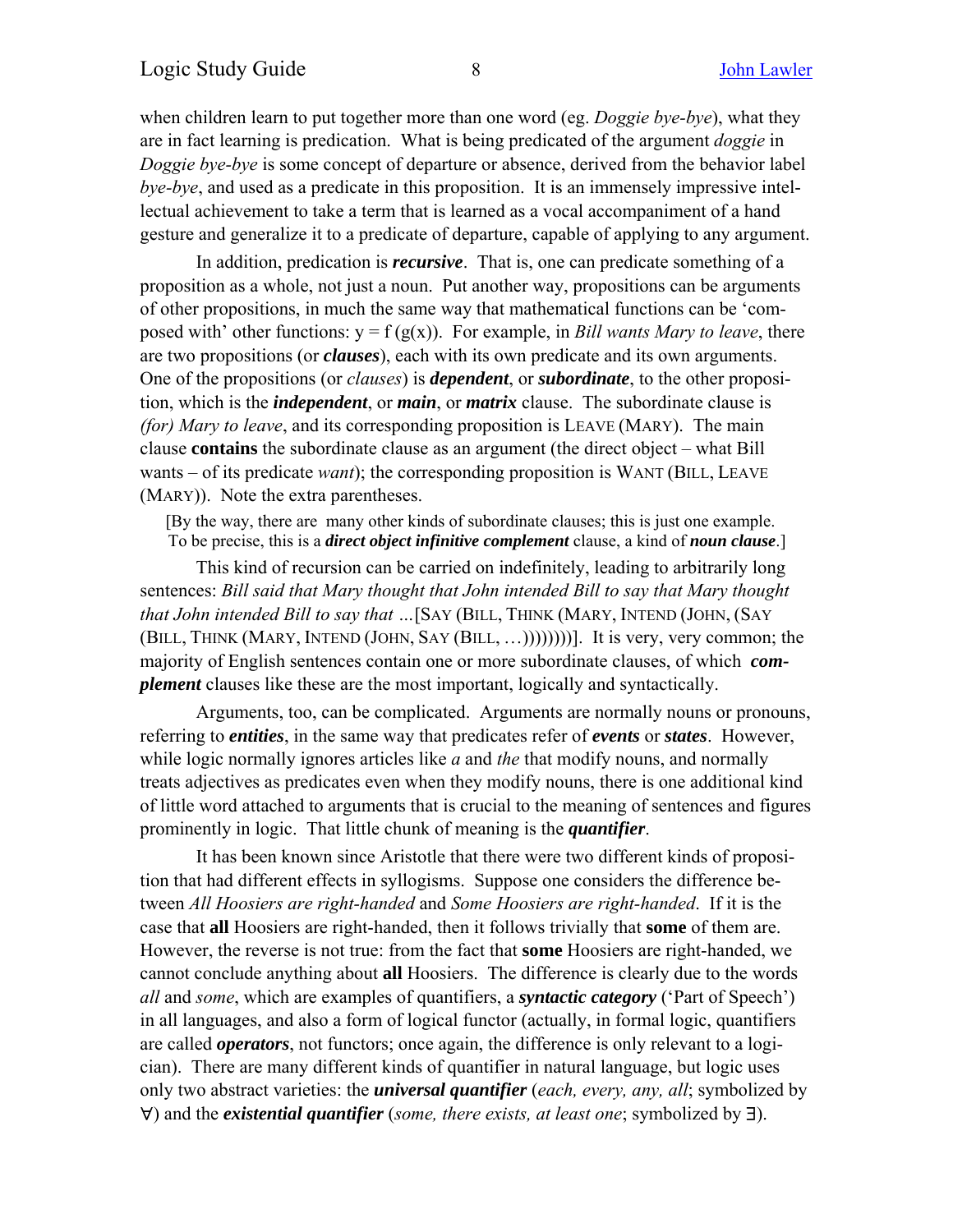when children learn to put together more than one word (eg. *Doggie bye-bye*), what they are in fact learning is predication. What is being predicated of the argument *doggie* in *Doggie bye-bye* is some concept of departure or absence, derived from the behavior label *bye-bye*, and used as a predicate in this proposition. It is an immensely impressive intellectual achievement to take a term that is learned as a vocal accompaniment of a hand gesture and generalize it to a predicate of departure, capable of applying to any argument.

In addition, predication is *recursive*. That is, one can predicate something of a proposition as a whole, not just a noun. Put another way, propositions can be arguments of other propositions, in much the same way that mathematical functions can be 'composed with' other functions:  $y = f(g(x))$ . For example, in *Bill wants Mary to leave*, there are two propositions (or *clauses*), each with its own predicate and its own arguments. One of the propositions (or *clauses*) is *dependent*, or *subordinate*, to the other proposition, which is the *independent*, or *main*, or *matrix* clause. The subordinate clause is *(for) Mary to leave*, and its corresponding proposition is LEAVE (MARY). The main clause **contains** the subordinate clause as an argument (the direct object – what Bill wants – of its predicate *want*); the corresponding proposition is WANT (BILL, LEAVE (MARY)). Note the extra parentheses.

 [By the way, there are many other kinds of subordinate clauses; this is just one example. To be precise, this is a *direct object infinitive complement* clause, a kind of *noun clause*.]

This kind of recursion can be carried on indefinitely, leading to arbitrarily long sentences: *Bill said that Mary thought that John intended Bill to say that Mary thought that John intended Bill to say that …*[SAY (BILL, THINK (MARY, INTEND (JOHN, (SAY (BILL, THINK (MARY, INTEND (JOHN, SAY (BILL, …))))))))]. It is very, very common; the majority of English sentences contain one or more subordinate clauses, of which *complement* clauses like these are the most important, logically and syntactically.

Arguments, too, can be complicated. Arguments are normally nouns or pronouns, referring to *entities*, in the same way that predicates refer of *events* or *states*. However, while logic normally ignores articles like *a* and *the* that modify nouns, and normally treats adjectives as predicates even when they modify nouns, there is one additional kind of little word attached to arguments that is crucial to the meaning of sentences and figures prominently in logic. That little chunk of meaning is the *quantifier*.

It has been known since Aristotle that there were two different kinds of proposition that had different effects in syllogisms. Suppose one considers the difference between *All Hoosiers are right-handed* and *Some Hoosiers are right-handed*. If it is the case that **all** Hoosiers are right-handed, then it follows trivially that **some** of them are. However, the reverse is not true: from the fact that **some** Hoosiers are right-handed, we cannot conclude anything about **all** Hoosiers. The difference is clearly due to the words *all* and *some*, which are examples of quantifiers, a *syntactic category* ('Part of Speech') in all languages, and also a form of logical functor (actually, in formal logic, quantifiers are called *operators*, not functors; once again, the difference is only relevant to a logician). There are many different kinds of quantifier in natural language, but logic uses only two abstract varieties: the *universal quantifier* (*each, every, any, all*; symbolized by ∀) and the *existential quantifier* (*some, there exists, at least one*; symbolized by ∃).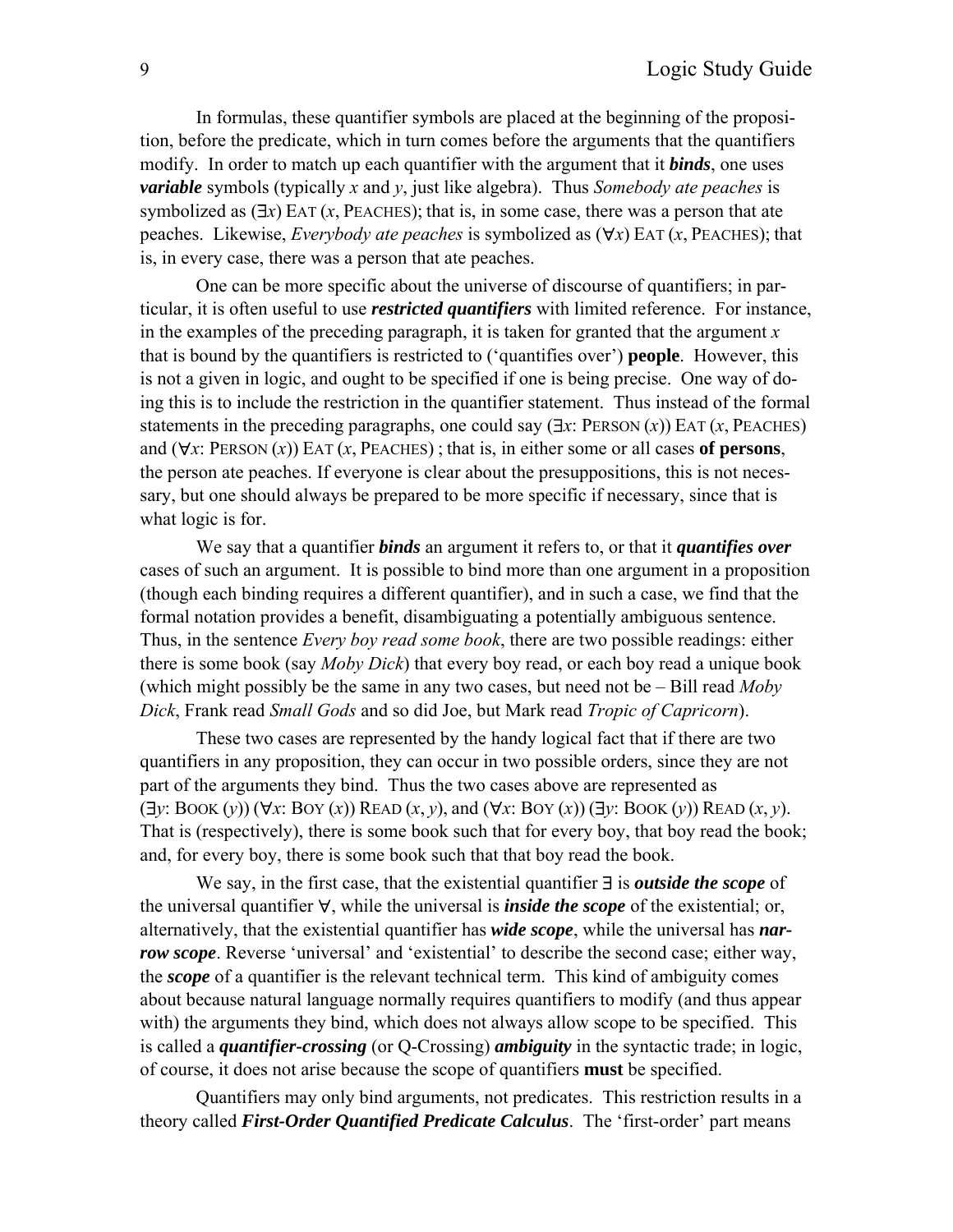In formulas, these quantifier symbols are placed at the beginning of the proposition, before the predicate, which in turn comes before the arguments that the quantifiers modify. In order to match up each quantifier with the argument that it *binds*, one uses *variable* symbols (typically *x* and *y*, just like algebra). Thus *Somebody ate peaches* is symbolized as  $(\exists x)$  EAT  $(x,$  PEACHES); that is, in some case, there was a person that ate peaches. Likewise, *Everybody ate peaches* is symbolized as (∀*x*) EAT (*x*, PEACHES); that is, in every case, there was a person that ate peaches.

One can be more specific about the universe of discourse of quantifiers; in particular, it is often useful to use *restricted quantifiers* with limited reference. For instance, in the examples of the preceding paragraph, it is taken for granted that the argument *x* that is bound by the quantifiers is restricted to ('quantifies over') **people**. However, this is not a given in logic, and ought to be specified if one is being precise. One way of doing this is to include the restriction in the quantifier statement. Thus instead of the formal statements in the preceding paragraphs, one could say (∃*x*: PERSON (*x*)) EAT (*x*, PEACHES) and (∀*x*: PERSON (*x*)) EAT (*x*, PEACHES) ; that is, in either some or all cases **of persons**, the person ate peaches. If everyone is clear about the presuppositions, this is not necessary, but one should always be prepared to be more specific if necessary, since that is what logic is for.

We say that a quantifier *binds* an argument it refers to, or that it *quantifies over*  cases of such an argument. It is possible to bind more than one argument in a proposition (though each binding requires a different quantifier), and in such a case, we find that the formal notation provides a benefit, disambiguating a potentially ambiguous sentence. Thus, in the sentence *Every boy read some book*, there are two possible readings: either there is some book (say *Moby Dick*) that every boy read, or each boy read a unique book (which might possibly be the same in any two cases, but need not be – Bill read *Moby Dick*, Frank read *Small Gods* and so did Joe, but Mark read *Tropic of Capricorn*).

These two cases are represented by the handy logical fact that if there are two quantifiers in any proposition, they can occur in two possible orders, since they are not part of the arguments they bind. Thus the two cases above are represented as  $(\exists y: \text{Book}(y)) (\forall x: \text{Boy}(x)) \text{READ}(x, y)$ , and  $(\forall x: \text{Boy}(x)) (\exists y: \text{Book}(y)) \text{READ}(x, y)$ . That is (respectively), there is some book such that for every boy, that boy read the book; and, for every boy, there is some book such that that boy read the book.

We say, in the first case, that the existential quantifier ∃ is *outside the scope* of the universal quantifier ∀, while the universal is *inside the scope* of the existential; or, alternatively, that the existential quantifier has *wide scope*, while the universal has *narrow scope*. Reverse 'universal' and 'existential' to describe the second case; either way, the *scope* of a quantifier is the relevant technical term. This kind of ambiguity comes about because natural language normally requires quantifiers to modify (and thus appear with) the arguments they bind, which does not always allow scope to be specified. This is called a *quantifier-crossing* (or Q-Crossing) *ambiguity* in the syntactic trade; in logic, of course, it does not arise because the scope of quantifiers **must** be specified.

Quantifiers may only bind arguments, not predicates. This restriction results in a theory called *First-Order Quantified Predicate Calculus*. The 'first-order' part means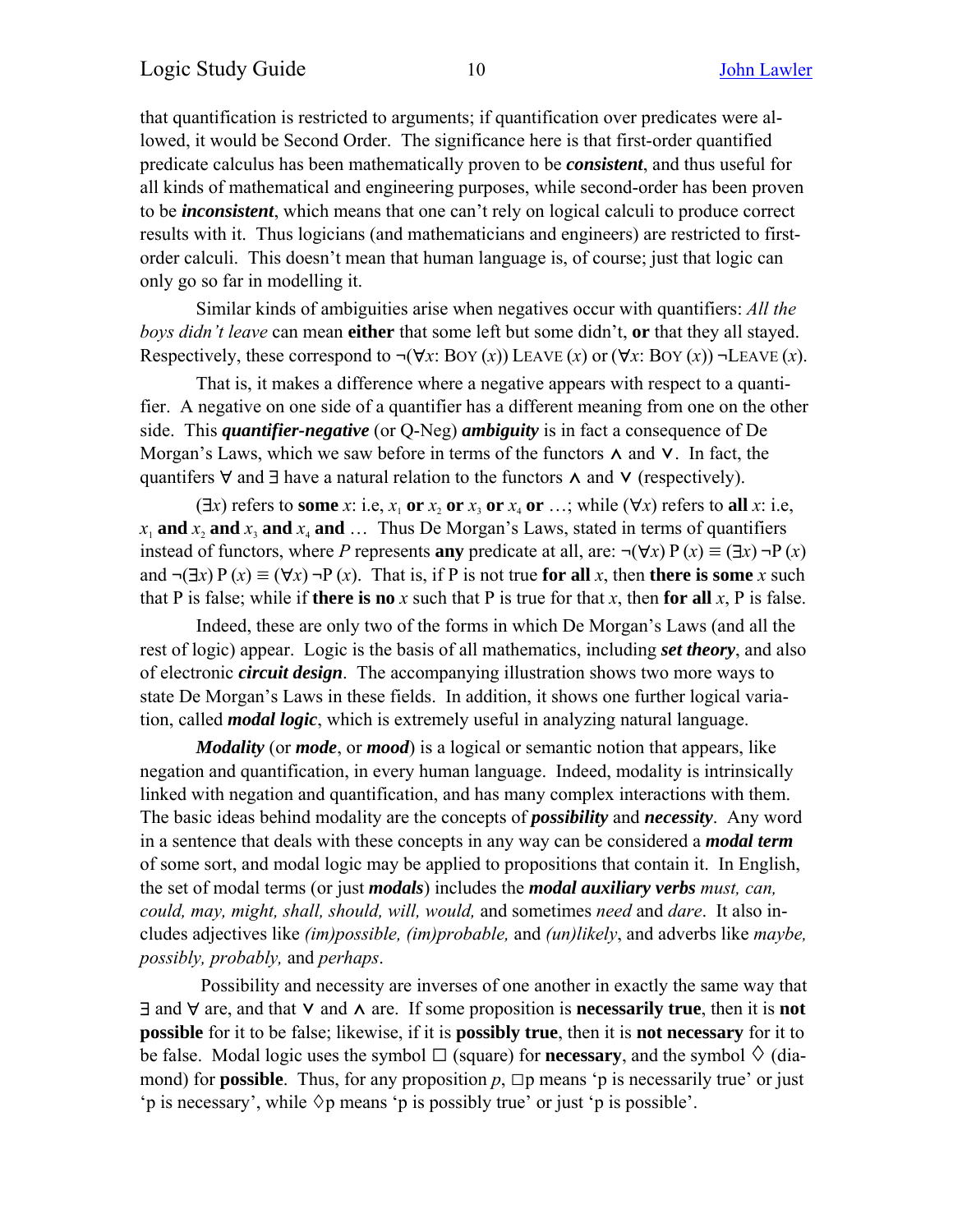that quantification is restricted to arguments; if quantification over predicates were allowed, it would be Second Order. The significance here is that first-order quantified predicate calculus has been mathematically proven to be *consistent*, and thus useful for all kinds of mathematical and engineering purposes, while second-order has been proven to be *inconsistent*, which means that one can't rely on logical calculi to produce correct results with it. Thus logicians (and mathematicians and engineers) are restricted to firstorder calculi. This doesn't mean that human language is, of course; just that logic can only go so far in modelling it.

Similar kinds of ambiguities arise when negatives occur with quantifiers: *All the boys didn't leave* can mean **either** that some left but some didn't, **or** that they all stayed. Respectively, these correspond to  $\neg(\forall x: \text{Box}(x))$  LEAVE  $(x)$  or  $(\forall x: \text{Box}(x))$   $\neg$  LEAVE  $(x)$ .

That is, it makes a difference where a negative appears with respect to a quantifier. A negative on one side of a quantifier has a different meaning from one on the other side. This *quantifier-negative* (or Q-Neg) *ambiguity* is in fact a consequence of De Morgan's Laws, which we saw before in terms of the functors  $\Lambda$  and  $V$ . In fact, the quantifers ∀ and ∃ have a natural relation to the functors ∧ and ∨ (respectively).

( $\exists x$ ) refers to some *x*: i.e,  $x_1$  or  $x_2$  or  $x_3$  or  $x_4$  or …; while ( $\forall x$ ) refers to all *x*: i.e,  $x_1$  **and**  $x_2$  **and**  $x_3$  **and**  $x_4$  **and**  $\ldots$  Thus De Morgan's Laws, stated in terms of quantifiers instead of functors, where *P* represents **any** predicate at all, are:  $\neg(\forall x) P(x) \equiv (\exists x) \neg P(x)$ and  $\neg(\exists x) P(x) \equiv (\forall x) \neg P(x)$ . That is, if P is not true for all *x*, then there is some *x* such that P is false; while if **there is no**  $x$  such that P is true for that  $x$ , then **for all**  $x$ , P is false.

Indeed, these are only two of the forms in which De Morgan's Laws (and all the rest of logic) appear. Logic is the basis of all mathematics, including *set theory*, and also of electronic *circuit design*. The accompanying illustration shows two more ways to state De Morgan's Laws in these fields. In addition, it shows one further logical variation, called *modal logic*, which is extremely useful in analyzing natural language.

*Modality* (or *mode*, or *mood*) is a logical or semantic notion that appears, like negation and quantification, in every human language. Indeed, modality is intrinsically linked with negation and quantification, and has many complex interactions with them. The basic ideas behind modality are the concepts of *possibility* and *necessity*. Any word in a sentence that deals with these concepts in any way can be considered a *modal term* of some sort, and modal logic may be applied to propositions that contain it. In English, the set of modal terms (or just *modals*) includes the *modal auxiliary verbs must, can, could, may, might, shall, should, will, would,* and sometimes *need* and *dare*. It also includes adjectives like *(im)possible, (im)probable,* and *(un)likely*, and adverbs like *maybe, possibly, probably,* and *perhaps*.

 Possibility and necessity are inverses of one another in exactly the same way that ∃ and ∀ are, and that ⋁ and ⋀ are. If some proposition is **necessarily true**, then it is **not possible** for it to be false; likewise, if it is **possibly true**, then it is **not necessary** for it to be false. Modal logic uses the symbol  $\Box$  (square) for **necessary**, and the symbol  $\Diamond$  (diamond) for **possible**. Thus, for any proposition  $p$ ,  $\Box p$  means 'p is necessarily true' or just 'p is necessary', while  $\Diamond p$  means 'p is possibly true' or just 'p is possible'.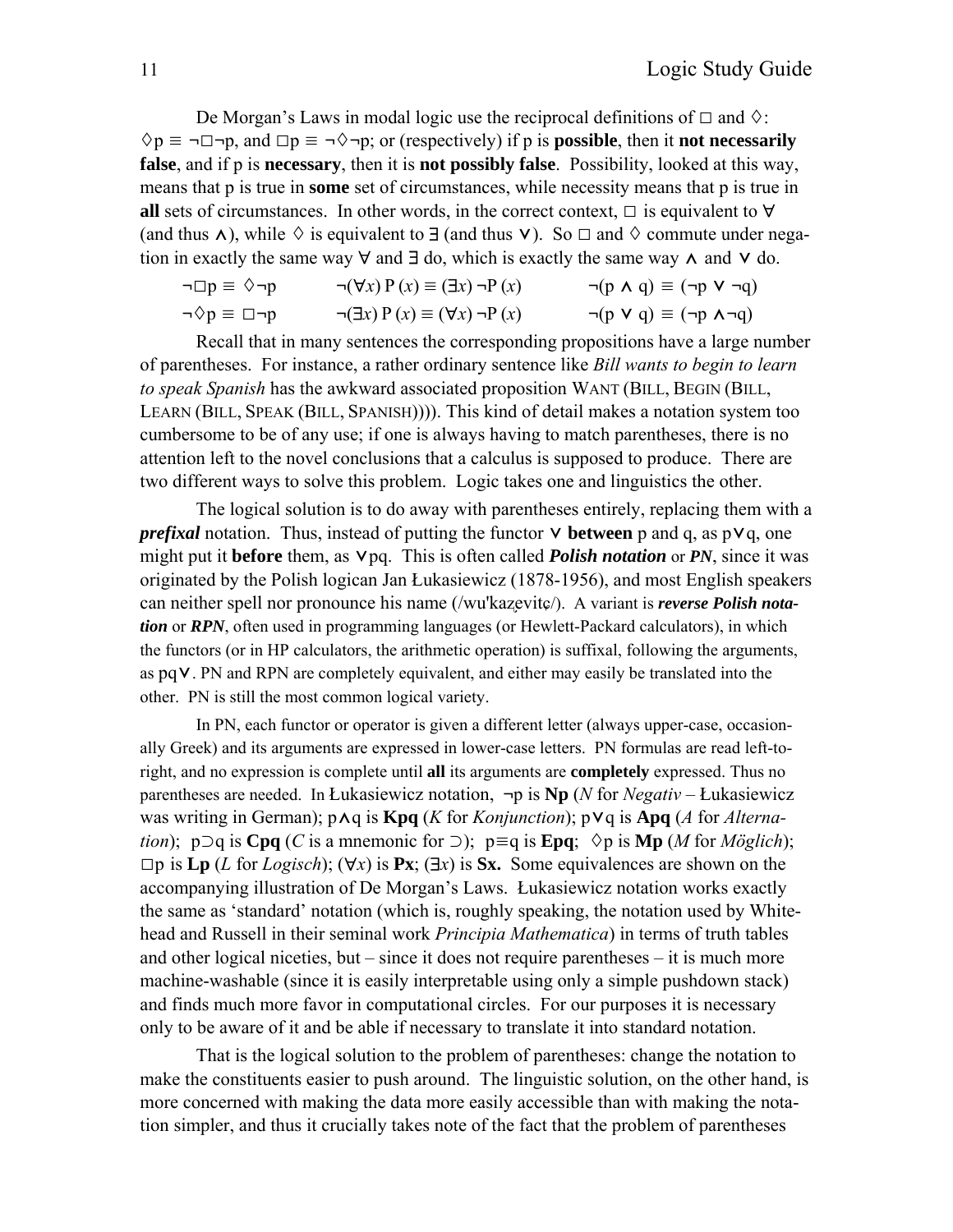De Morgan's Laws in modal logic use the reciprocal definitions of  $\Box$  and  $\Diamond$ :  $\Diamond p \equiv \neg \Box \neg p$ , and  $\Box p \equiv \neg \Diamond \neg p$ ; or (respectively) if p is **possible**, then it **not necessarily false**, and if p is **necessary**, then it is **not possibly false**. Possibility, looked at this way, means that p is true in **some** set of circumstances, while necessity means that p is true in **all** sets of circumstances. In other words, in the correct context,  $\Box$  is equivalent to  $\forall$ (and thus  $\Lambda$ ), while  $\diamond$  is equivalent to  $\exists$  (and thus  $\vee$ ). So  $\square$  and  $\diamond$  commute under negation in exactly the same way  $\forall$  and  $\exists$  do, which is exactly the same way  $\wedge$  and  $\vee$  do.

$$
\neg \Box p \equiv \Diamond \neg p \qquad \neg (\forall x) P (x) \equiv (\exists x) \neg P (x) \qquad \neg (p \land q) \equiv (\neg p \lor \neg q)
$$
  

$$
\neg \Diamond p \equiv \Box \neg p \qquad \neg (\exists x) P (x) \equiv (\forall x) \neg P (x) \qquad \neg (p \lor q) \equiv (\neg p \land \neg q)
$$

Recall that in many sentences the corresponding propositions have a large number of parentheses. For instance, a rather ordinary sentence like *Bill wants to begin to learn to speak Spanish* has the awkward associated proposition WANT (BILL, BEGIN (BILL, LEARN (BILL, SPEAK (BILL, SPANISH)))). This kind of detail makes a notation system too cumbersome to be of any use; if one is always having to match parentheses, there is no attention left to the novel conclusions that a calculus is supposed to produce. There are two different ways to solve this problem. Logic takes one and linguistics the other.

The logical solution is to do away with parentheses entirely, replacing them with a *prefixal* notation. Thus, instead of putting the functor **∨ between** p and q, as p**∨**q, one might put it **before** them, as  $Vpq$ . This is often called *Polish notation* or *PN*, since it was originated by the Polish logican Jan Łukasiewicz (1878-1956), and most English speakers can neither spell nor pronounce his name (/wu'kazevite/). A variant is *reverse Polish notation* or *RPN*, often used in programming languages (or Hewlett-Packard calculators), in which the functors (or in HP calculators, the arithmetic operation) is suffixal, following the arguments, as pq⋁. PN and RPN are completely equivalent, and either may easily be translated into the other. PN is still the most common logical variety.

In PN, each functor or operator is given a different letter (always upper-case, occasionally Greek) and its arguments are expressed in lower-case letters. PN formulas are read left-toright, and no expression is complete until **all** its arguments are **completely** expressed. Thus no parentheses are needed. In Łukasiewicz notation, **¬**p is **Np** (*N* for *Negativ* – Łukasiewicz was writing in German); p⋀q is **Kpq** (*K* for *Konjunction*); p⋁q is **Apq** (*A* for *Alternation*); p⊃q is **Cpq** (*C* is a mnemonic for ⊃); p≡q is **Epq**;  $\diamond$ p is **Mp** (*M* for *Möglich*);  $\Box$ p is **Lp** (*L* for *Logisch*); ( $\forall x$ ) is **Px**; ( $\exists x$ ) is **Sx.** Some equivalences are shown on the accompanying illustration of De Morgan's Laws. Łukasiewicz notation works exactly the same as 'standard' notation (which is, roughly speaking, the notation used by Whitehead and Russell in their seminal work *Principia Mathematica*) in terms of truth tables and other logical niceties, but – since it does not require parentheses – it is much more machine-washable (since it is easily interpretable using only a simple pushdown stack) and finds much more favor in computational circles. For our purposes it is necessary only to be aware of it and be able if necessary to translate it into standard notation.

That is the logical solution to the problem of parentheses: change the notation to make the constituents easier to push around. The linguistic solution, on the other hand, is more concerned with making the data more easily accessible than with making the notation simpler, and thus it crucially takes note of the fact that the problem of parentheses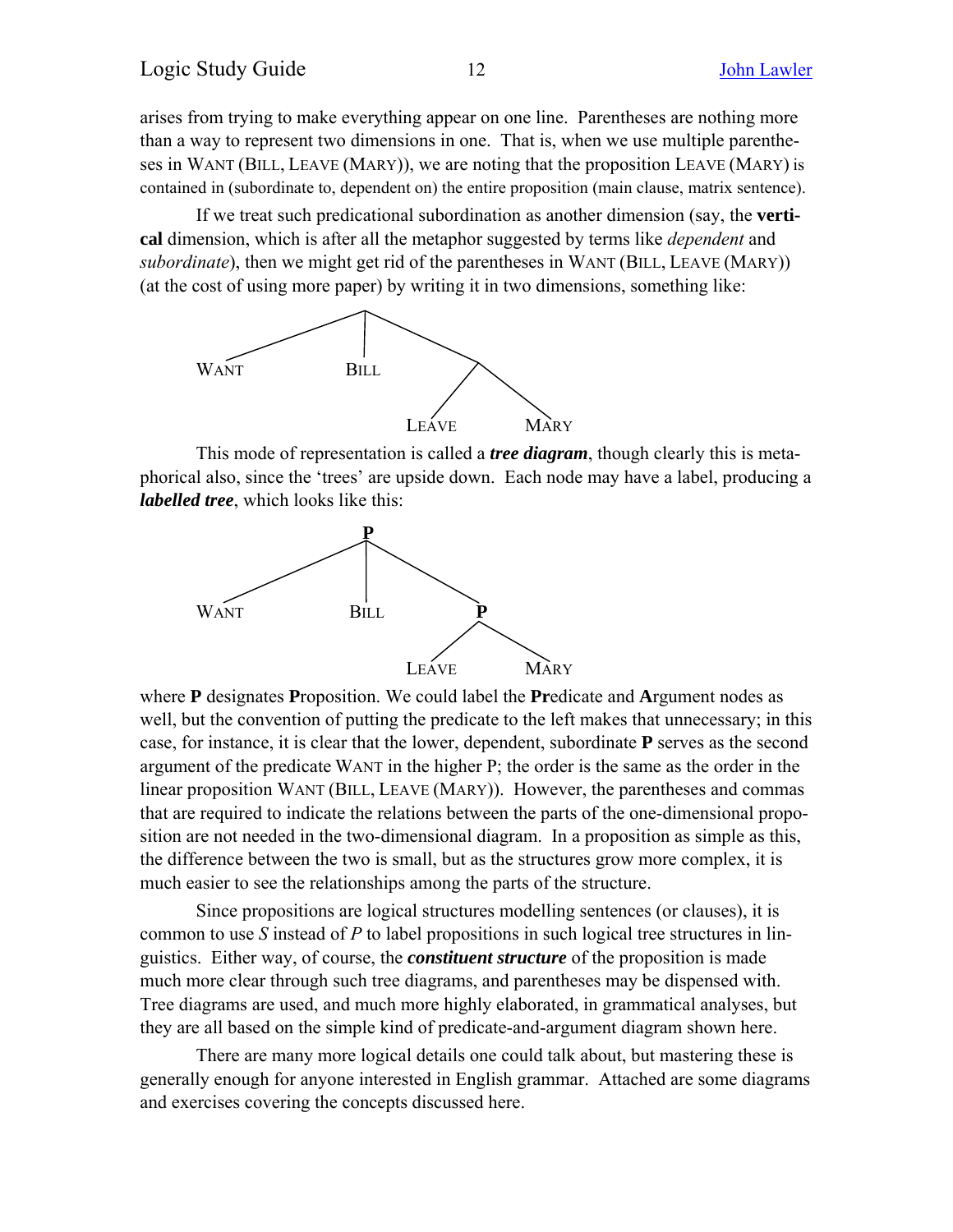arises from trying to make everything appear on one line. Parentheses are nothing more than a way to represent two dimensions in one. That is, when we use multiple parentheses in WANT (BILL, LEAVE (MARY)), we are noting that the proposition LEAVE (MARY) is contained in (subordinate to, dependent on) the entire proposition (main clause, matrix sentence).

If we treat such predicational subordination as another dimension (say, the **vertical** dimension, which is after all the metaphor suggested by terms like *dependent* and *subordinate*), then we might get rid of the parentheses in WANT (BILL, LEAVE (MARY)) (at the cost of using more paper) by writing it in two dimensions, something like:



This mode of representation is called a *tree diagram*, though clearly this is metaphorical also, since the 'trees' are upside down. Each node may have a label, producing a *labelled tree*, which looks like this:



where **P** designates **P**roposition. We could label the **Pr**edicate and **A**rgument nodes as well, but the convention of putting the predicate to the left makes that unnecessary; in this case, for instance, it is clear that the lower, dependent, subordinate **P** serves as the second argument of the predicate WANT in the higher P; the order is the same as the order in the linear proposition WANT (BILL, LEAVE (MARY)). However, the parentheses and commas that are required to indicate the relations between the parts of the one-dimensional proposition are not needed in the two-dimensional diagram. In a proposition as simple as this, the difference between the two is small, but as the structures grow more complex, it is much easier to see the relationships among the parts of the structure.

Since propositions are logical structures modelling sentences (or clauses), it is common to use *S* instead of *P* to label propositions in such logical tree structures in linguistics. Either way, of course, the *constituent structure* of the proposition is made much more clear through such tree diagrams, and parentheses may be dispensed with. Tree diagrams are used, and much more highly elaborated, in grammatical analyses, but they are all based on the simple kind of predicate-and-argument diagram shown here.

There are many more logical details one could talk about, but mastering these is generally enough for anyone interested in English grammar. Attached are some diagrams and exercises covering the concepts discussed here.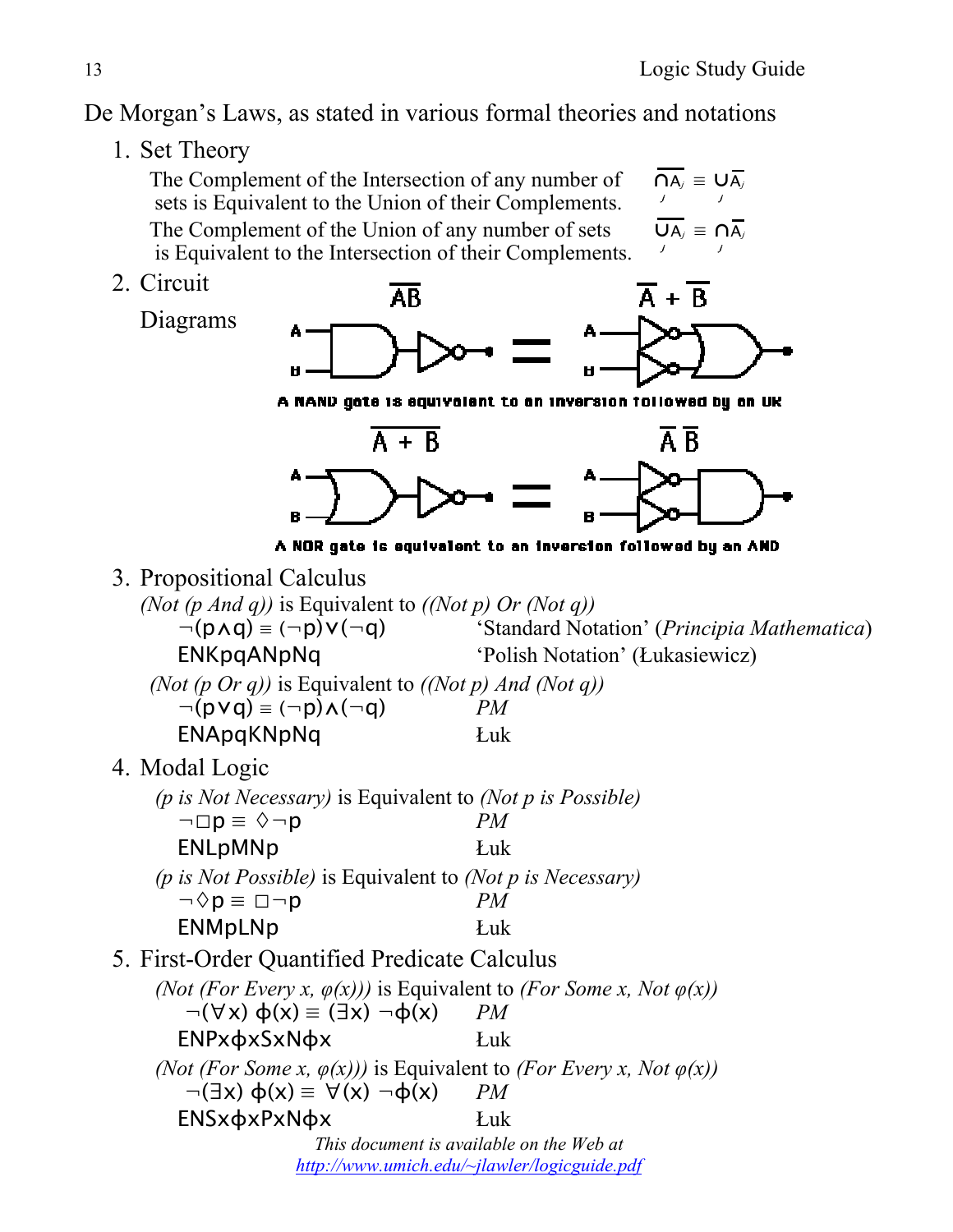De Morgan's Laws, as stated in various formal theories and notations

1. Set Theory

The Complement of the Intersection of any number of  $\overline{NA_i} = \overline{UA_i}$  sets is Equivalent to the Union of their Complements. j i y The Complement of the Union of any number of sets  $\overline{UA_i} = \overline{A_i}$  is Equivalent to the Intersection of their Complements. j  $\frac{1}{2}$ 

2. Circuit

Diagrams



A NAND gate is equivalent to an inversion followed by an UK



A NOR gate is equivalent to an inversion followed by an AND

3. Propositional Calculus

*(Not (p And q))* is Equivalent to *((Not p) Or (Not q))* ¬(p⋀q) ≡ (¬p)⋁(¬q) 'Standard Notation' (*Principia Mathematica*) ENKpqANpNq 'Polish Notation' (Łukasiewicz) *(Not (p Or q))* is Equivalent to *((Not p) And (Not q))*  $\neg (p \lor q) \equiv (\neg p) \land (\neg q)$  *PM* ENApqKNpNq Łuk 4. Modal Logic *(p is Not Necessary)* is Equivalent to *(Not p is Possible)*  $\neg \Box p \equiv \Diamond \neg p$  *PM* ENLpMNp Łuk *(p is Not Possible)* is Equivalent to *(Not p is Necessary)*  $\neg \Diamond p \equiv \Box \neg p$  *PM* ENMpLNp Łuk 5. First-Order Quantified Predicate Calculus *(Not (For Every x,*  $\varphi(x)$ *))* is Equivalent to *(For Some x, Not*  $\varphi(x)$ )  $\neg(\forall x) \phi(x) \equiv (\exists x) \neg \phi(x)$  *PM* ENPxφxSxNφx Łuk *(Not (For Some x,*  $\varphi(x)$ *))* is Equivalent to *(For Every x, Not*  $\varphi(x)$ )  $\neg(\exists x) \; \phi(x) \equiv \forall(x) \; \neg \phi(x)$  *PM This document is available on the Web at*  ENSxφxPxNφx Łuk *http://www.umich.edu/~jlawler/logicguide.pdf*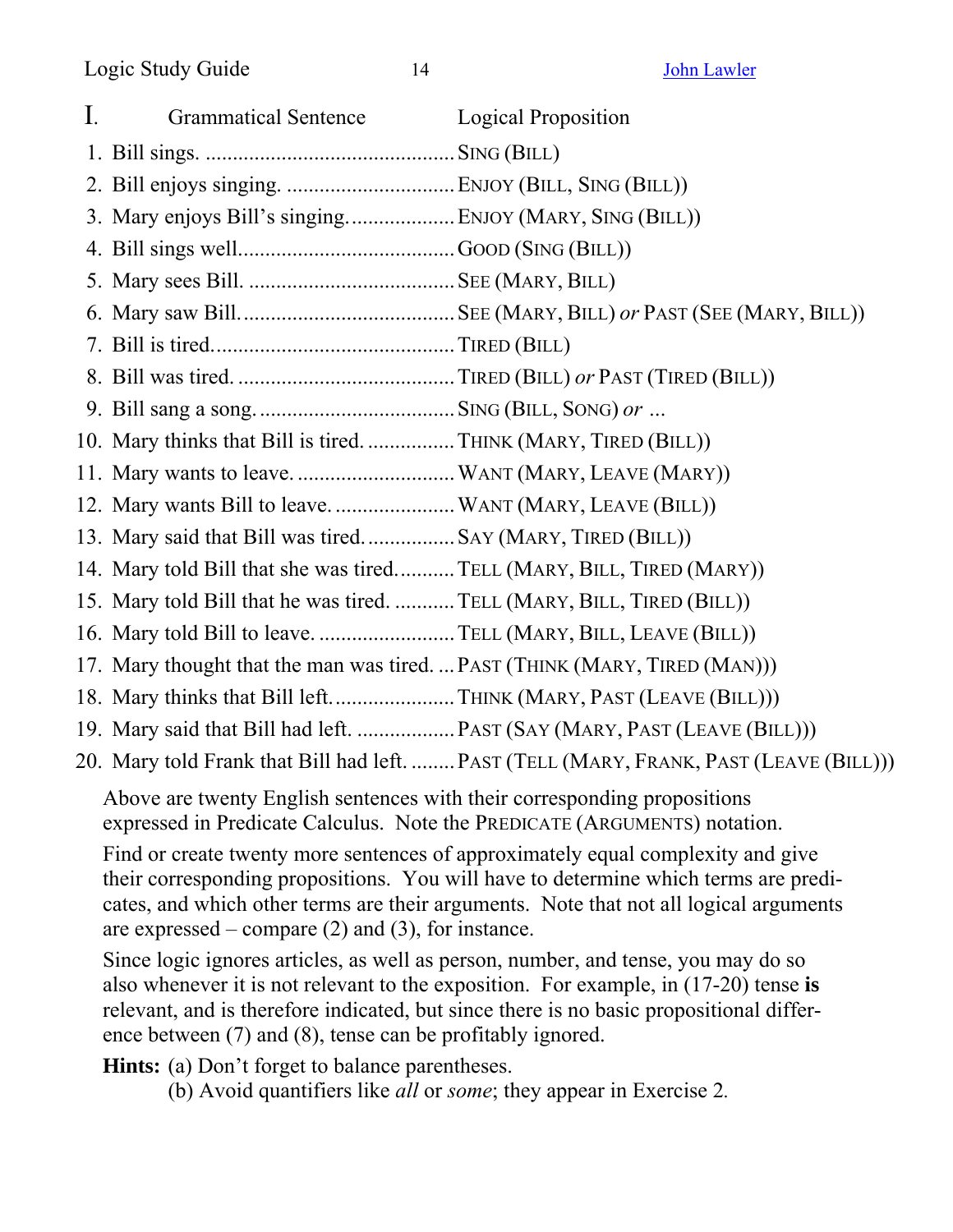| $\mathbf{I}$ . | <b>Grammatical Sentence</b>                                                                                   | <b>Logical Proposition</b>                                                             |
|----------------|---------------------------------------------------------------------------------------------------------------|----------------------------------------------------------------------------------------|
|                |                                                                                                               |                                                                                        |
|                |                                                                                                               |                                                                                        |
|                |                                                                                                               |                                                                                        |
|                |                                                                                                               |                                                                                        |
|                |                                                                                                               |                                                                                        |
|                |                                                                                                               |                                                                                        |
|                |                                                                                                               |                                                                                        |
|                |                                                                                                               |                                                                                        |
|                |                                                                                                               |                                                                                        |
|                | 10. Mary thinks that Bill is tired.  THINK (MARY, TIRED (BILL))                                               |                                                                                        |
|                |                                                                                                               |                                                                                        |
|                |                                                                                                               |                                                                                        |
|                | 13. Mary said that Bill was tired SAY (MARY, TIRED (BILL))                                                    |                                                                                        |
|                | 14. Mary told Bill that she was tired TELL (MARY, BILL, TIRED (MARY))                                         |                                                                                        |
|                | 15. Mary told Bill that he was tired.  TELL (MARY, BILL, TIRED (BILL))                                        |                                                                                        |
|                | 16. Mary told Bill to leave. TELL (MARY, BILL, LEAVE (BILL))                                                  |                                                                                        |
|                | 17. Mary thought that the man was tired.  PAST (THINK (MARY, TIRED (MAN)))                                    |                                                                                        |
|                | 18. Mary thinks that Bill leftTHINK (MARY, PAST (LEAVE (BILL)))                                               |                                                                                        |
|                |                                                                                                               |                                                                                        |
|                |                                                                                                               | 20. Mary told Frank that Bill had left.  PAST (TELL (MARY, FRANK, PAST (LEAVE (BILL))) |
|                | 1000 - 1000 - 1000 - 1000 - 1000 - 1000 - 1000 - 1000 - 1000 - 1000 - 1000 - 1000 - 1000 - 1000 - 1000 - 1000 |                                                                                        |

Above are twenty English sentences with their corresponding propositions expressed in Predicate Calculus. Note the PREDICATE (ARGUMENTS) notation.

Find or create twenty more sentences of approximately equal complexity and give their corresponding propositions. You will have to determine which terms are predicates, and which other terms are their arguments. Note that not all logical arguments are expressed – compare  $(2)$  and  $(3)$ , for instance.

Since logic ignores articles, as well as person, number, and tense, you may do so also whenever it is not relevant to the exposition. For example, in (17-20) tense **is** relevant, and is therefore indicated, but since there is no basic propositional difference between (7) and (8), tense can be profitably ignored.

**Hints:** (a) Don't forget to balance parentheses.

(b) Avoid quantifiers like *all* or *some*; they appear in Exercise 2*.*